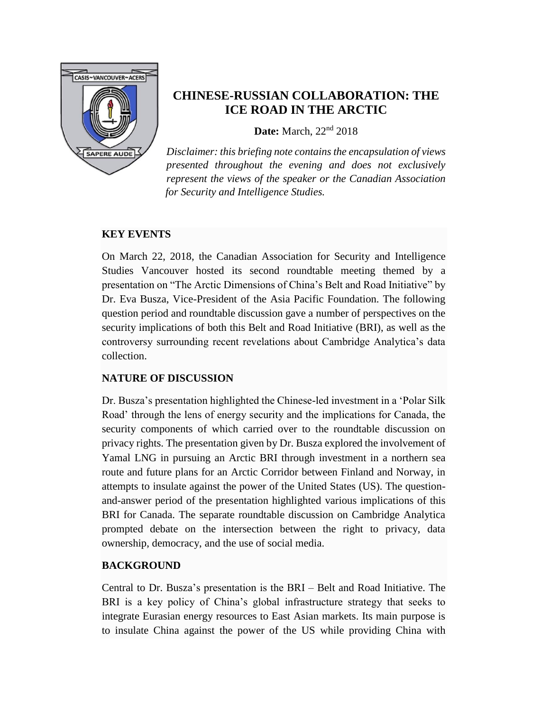

## **CHINESE-RUSSIAN COLLABORATION: THE ICE ROAD IN THE ARCTIC**

**Date:** March, 22nd 2018

*Disclaimer: this briefing note contains the encapsulation of views presented throughout the evening and does not exclusively represent the views of the speaker or the Canadian Association for Security and Intelligence Studies.* 

#### **KEY EVENTS**

On March 22, 2018, the Canadian Association for Security and Intelligence Studies Vancouver hosted its second roundtable meeting themed by a presentation on "The Arctic Dimensions of China's Belt and Road Initiative" by Dr. Eva Busza, Vice-President of the Asia Pacific Foundation. The following question period and roundtable discussion gave a number of perspectives on the security implications of both this Belt and Road Initiative (BRI), as well as the controversy surrounding recent revelations about Cambridge Analytica's data collection.

### **NATURE OF DISCUSSION**

Dr. Busza's presentation highlighted the Chinese-led investment in a 'Polar Silk Road' through the lens of energy security and the implications for Canada, the security components of which carried over to the roundtable discussion on privacy rights. The presentation given by Dr. Busza explored the involvement of Yamal LNG in pursuing an Arctic BRI through investment in a northern sea route and future plans for an Arctic Corridor between Finland and Norway, in attempts to insulate against the power of the United States (US). The questionand-answer period of the presentation highlighted various implications of this BRI for Canada. The separate roundtable discussion on Cambridge Analytica prompted debate on the intersection between the right to privacy, data ownership, democracy, and the use of social media.

#### **BACKGROUND**

Central to Dr. Busza's presentation is the BRI – Belt and Road Initiative. The BRI is a key policy of China's global infrastructure strategy that seeks to integrate Eurasian energy resources to East Asian markets. Its main purpose is to insulate China against the power of the US while providing China with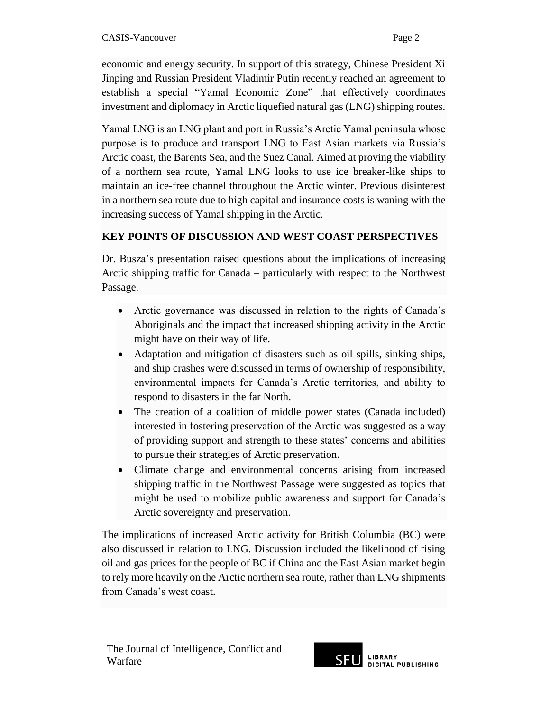economic and energy security. In support of this strategy, Chinese President Xi Jinping and Russian President Vladimir Putin recently reached an agreement to establish a special "Yamal Economic Zone" that effectively coordinates investment and diplomacy in Arctic liquefied natural gas (LNG) shipping routes.

Yamal LNG is an LNG plant and port in Russia's Arctic Yamal peninsula whose purpose is to produce and transport LNG to East Asian markets via Russia's Arctic coast, the Barents Sea, and the Suez Canal. Aimed at proving the viability of a northern sea route, Yamal LNG looks to use ice breaker-like ships to maintain an ice-free channel throughout the Arctic winter. Previous disinterest in a northern sea route due to high capital and insurance costs is waning with the increasing success of Yamal shipping in the Arctic.

# **KEY POINTS OF DISCUSSION AND WEST COAST PERSPECTIVES**

Dr. Busza's presentation raised questions about the implications of increasing Arctic shipping traffic for Canada – particularly with respect to the Northwest Passage.

- Arctic governance was discussed in relation to the rights of Canada's Aboriginals and the impact that increased shipping activity in the Arctic might have on their way of life.
- Adaptation and mitigation of disasters such as oil spills, sinking ships, and ship crashes were discussed in terms of ownership of responsibility, environmental impacts for Canada's Arctic territories, and ability to respond to disasters in the far North.
- The creation of a coalition of middle power states (Canada included) interested in fostering preservation of the Arctic was suggested as a way of providing support and strength to these states' concerns and abilities to pursue their strategies of Arctic preservation.
- Climate change and environmental concerns arising from increased shipping traffic in the Northwest Passage were suggested as topics that might be used to mobilize public awareness and support for Canada's Arctic sovereignty and preservation.

The implications of increased Arctic activity for British Columbia (BC) were also discussed in relation to LNG. Discussion included the likelihood of rising oil and gas prices for the people of BC if China and the East Asian market begin to rely more heavily on the Arctic northern sea route, rather than LNG shipments from Canada's west coast.

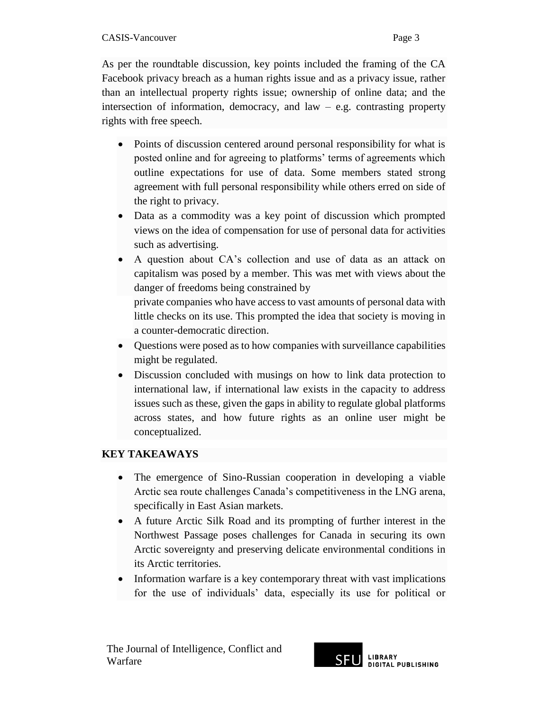As per the roundtable discussion, key points included the framing of the CA Facebook privacy breach as a human rights issue and as a privacy issue, rather than an intellectual property rights issue; ownership of online data; and the intersection of information, democracy, and  $law - e.g.$  contrasting property rights with free speech.

- Points of discussion centered around personal responsibility for what is posted online and for agreeing to platforms' terms of agreements which outline expectations for use of data. Some members stated strong agreement with full personal responsibility while others erred on side of the right to privacy.
- Data as a commodity was a key point of discussion which prompted views on the idea of compensation for use of personal data for activities such as advertising.
- A question about CA's collection and use of data as an attack on capitalism was posed by a member. This was met with views about the danger of freedoms being constrained by private companies who have access to vast amounts of personal data with little checks on its use. This prompted the idea that society is moving in a counter-democratic direction.
- Questions were posed as to how companies with surveillance capabilities might be regulated.
- Discussion concluded with musings on how to link data protection to international law, if international law exists in the capacity to address issues such as these, given the gaps in ability to regulate global platforms across states, and how future rights as an online user might be conceptualized.

## **KEY TAKEAWAYS**

- The emergence of Sino-Russian cooperation in developing a viable Arctic sea route challenges Canada's competitiveness in the LNG arena, specifically in East Asian markets.
- A future Arctic Silk Road and its prompting of further interest in the Northwest Passage poses challenges for Canada in securing its own Arctic sovereignty and preserving delicate environmental conditions in its Arctic territories.
- Information warfare is a key contemporary threat with vast implications for the use of individuals' data, especially its use for political or